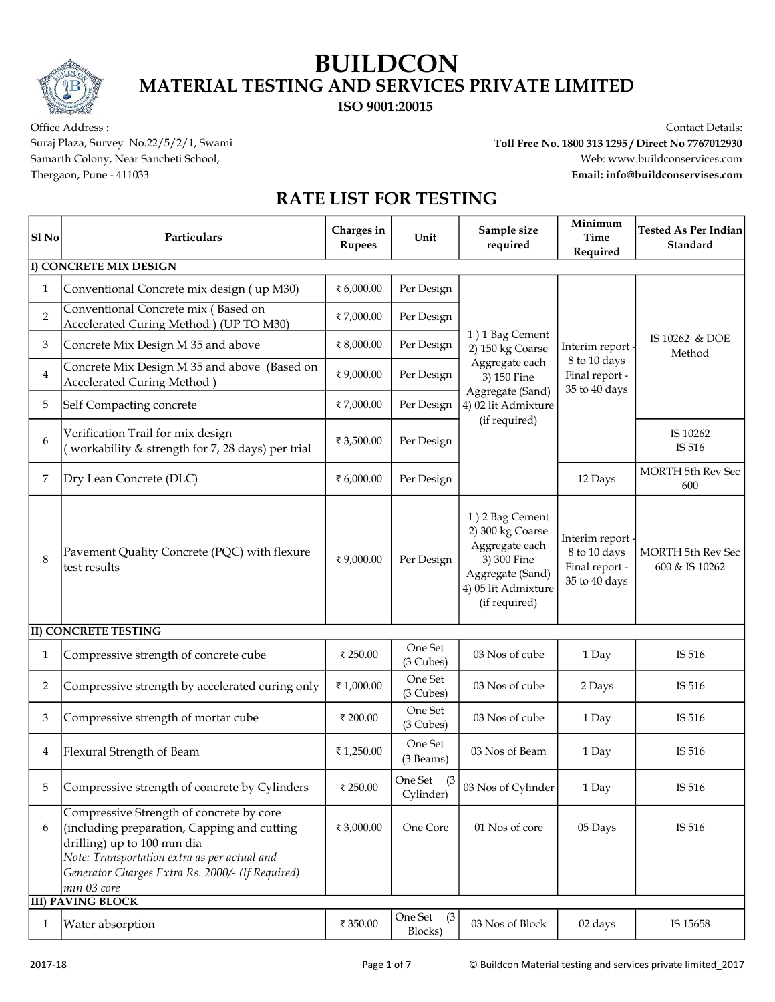#### ISO 9001:20015

Office Address : Contact Details:

Suraj Plaza, Survey No.22/5/2/1, Swami Toll Free No. 1800 313 1295 / Direct No 7767012930 Samarth Colony, Near Sancheti School, www.buildconservices.com Thergaon, Pune - 411033 Email: info@buildconservises.com

| Sl No                  | Particulars                                                                                                                                                                                                                                                          | Charges in<br><b>Rupees</b> | Unit                        | Sample size<br>required                                                                                                          | Minimum<br><b>Time</b><br>Required                                                                                        | <b>Tested As Per Indian</b><br>Standard    |  |
|------------------------|----------------------------------------------------------------------------------------------------------------------------------------------------------------------------------------------------------------------------------------------------------------------|-----------------------------|-----------------------------|----------------------------------------------------------------------------------------------------------------------------------|---------------------------------------------------------------------------------------------------------------------------|--------------------------------------------|--|
| I) CONCRETE MIX DESIGN |                                                                                                                                                                                                                                                                      |                             |                             |                                                                                                                                  |                                                                                                                           |                                            |  |
| 1                      | Conventional Concrete mix design (up M30)                                                                                                                                                                                                                            | ₹ 6,000.00                  | Per Design                  |                                                                                                                                  | 1) 1 Bag Cement<br>Interim report .<br>8 to 10 days<br>Final report -<br>3) 150 Fine<br>35 to 40 days<br>Aggregate (Sand) | IS 10262 & DOE<br>Method                   |  |
| 2                      | Conventional Concrete mix (Based on<br>Accelerated Curing Method ) (UP TO M30)                                                                                                                                                                                       | ₹7,000.00                   | Per Design                  |                                                                                                                                  |                                                                                                                           |                                            |  |
| 3                      | Concrete Mix Design M 35 and above                                                                                                                                                                                                                                   | ₹8,000.00                   | Per Design                  | 2) 150 kg Coarse<br>Aggregate each                                                                                               |                                                                                                                           |                                            |  |
| $\overline{4}$         | Concrete Mix Design M 35 and above (Based on<br>Accelerated Curing Method)                                                                                                                                                                                           | ₹9,000.00                   | Per Design                  |                                                                                                                                  |                                                                                                                           |                                            |  |
| 5                      | Self Compacting concrete                                                                                                                                                                                                                                             | ₹7,000.00                   | Per Design                  | 4) 02 lit Admixture                                                                                                              |                                                                                                                           |                                            |  |
| 6                      | Verification Trail for mix design<br>(workability & strength for 7, 28 days) per trial                                                                                                                                                                               | ₹ 3,500.00                  | Per Design                  | (if required)                                                                                                                    |                                                                                                                           | IS 10262<br>IS 516                         |  |
| 7                      | Dry Lean Concrete (DLC)                                                                                                                                                                                                                                              | ₹ 6,000.00                  | Per Design                  |                                                                                                                                  | 12 Days                                                                                                                   | <b>MORTH 5th Rev Sec</b><br>600            |  |
| 8                      | Pavement Quality Concrete (PQC) with flexure<br>test results                                                                                                                                                                                                         | ₹9,000.00                   | Per Design                  | 1) 2 Bag Cement<br>2) 300 kg Coarse<br>Aggregate each<br>3) 300 Fine<br>Aggregate (Sand)<br>4) 05 lit Admixture<br>(if required) | Interim report<br>8 to 10 days<br>Final report -<br>35 to 40 days                                                         | <b>MORTH 5th Rev Sec</b><br>600 & IS 10262 |  |
|                        | <b>II) CONCRETE TESTING</b>                                                                                                                                                                                                                                          |                             |                             |                                                                                                                                  |                                                                                                                           |                                            |  |
| 1                      | Compressive strength of concrete cube                                                                                                                                                                                                                                | ₹ 250.00                    | One Set<br>(3 Cubes)        | 03 Nos of cube                                                                                                                   | 1 Day                                                                                                                     | IS 516                                     |  |
| 2                      | Compressive strength by accelerated curing only                                                                                                                                                                                                                      | ₹1,000.00                   | One Set<br>(3 Cubes)        | 03 Nos of cube                                                                                                                   | 2 Days                                                                                                                    | IS 516                                     |  |
| 3                      | Compressive strength of mortar cube                                                                                                                                                                                                                                  | ₹ 200.00                    | One Set<br>(3 Cubes)        | 03 Nos of cube                                                                                                                   | 1 Day                                                                                                                     | IS 516                                     |  |
| 4                      | Flexural Strength of Beam                                                                                                                                                                                                                                            | ₹1,250.00                   | One Set<br>(3 Beams)        | 03 Nos of Beam                                                                                                                   | 1 Day                                                                                                                     | IS 516                                     |  |
| 5                      | Compressive strength of concrete by Cylinders                                                                                                                                                                                                                        | ₹ 250.00                    | (3)<br>One Set<br>Cylinder) | 03 Nos of Cylinder                                                                                                               | 1 Day                                                                                                                     | IS 516                                     |  |
| 6                      | Compressive Strength of concrete by core<br>(including preparation, Capping and cutting<br>drilling) up to 100 mm dia<br>Note: Transportation extra as per actual and<br>Generator Charges Extra Rs. 2000/- (If Required)<br>min 03 core<br><b>III) PAVING BLOCK</b> | ₹ 3,000.00                  | One Core                    | 01 Nos of core                                                                                                                   | 05 Days                                                                                                                   | IS 516                                     |  |
| 1                      | Water absorption                                                                                                                                                                                                                                                     | ₹ 350.00                    | One Set<br>(3)              | 03 Nos of Block                                                                                                                  | 02 days                                                                                                                   | IS 15658                                   |  |
|                        |                                                                                                                                                                                                                                                                      |                             | Blocks)                     |                                                                                                                                  |                                                                                                                           |                                            |  |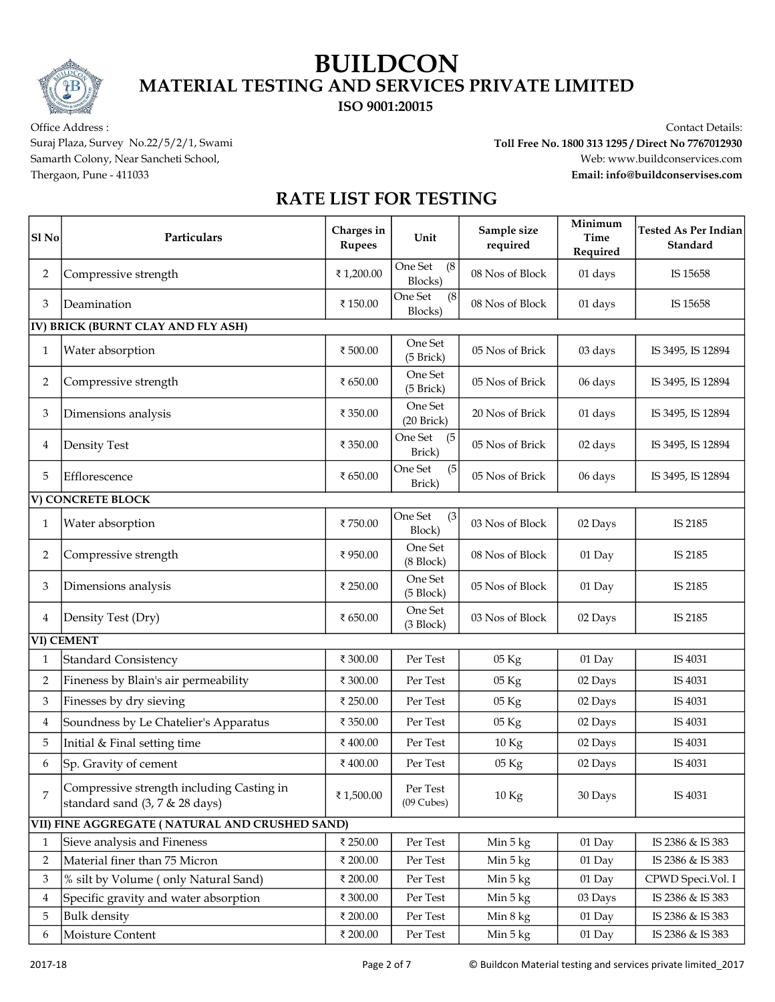ISO 9001:20015

Office Address : Contact Details:

Suraj Plaza, Survey No.22/5/2/1, Swami Toll Free No. 1800 313 1295 / Direct No 7767012930 Samarth Colony, Near Sancheti School, www.buildconservices.com Thergaon, Pune - 411033 Email: info@buildconservises.com

| <b>Sl</b> No            | Particulars                                                                 | Charges in<br><b>Rupees</b> | Unit                           | Sample size<br>required | Minimum<br><b>Time</b><br>Required | <b>Tested As Per Indian</b><br>Standard |  |
|-------------------------|-----------------------------------------------------------------------------|-----------------------------|--------------------------------|-------------------------|------------------------------------|-----------------------------------------|--|
| 2                       | Compressive strength                                                        | ₹1,200.00                   | One Set<br>(8)<br>Blocks)      | 08 Nos of Block         | 01 days                            | IS 15658                                |  |
| 3                       | Deamination                                                                 | ₹150.00                     | One Set<br>(8)<br>Blocks)      | 08 Nos of Block         | 01 days                            | IS 15658                                |  |
|                         | <b>IV) BRICK (BURNT CLAY AND FLY ASH)</b>                                   |                             |                                |                         |                                    |                                         |  |
| 1                       | Water absorption                                                            | ₹ 500.00                    | One Set<br>(5 Brick)           | 05 Nos of Brick         | 03 days                            | IS 3495, IS 12894                       |  |
| 2                       | Compressive strength                                                        | ₹ 650.00                    | One Set<br>(5 Brick)           | 05 Nos of Brick         | 06 days                            | IS 3495, IS 12894                       |  |
| 3                       | Dimensions analysis                                                         | ₹ 350.00                    | One Set<br>$(20$ Brick $)$     | 20 Nos of Brick         | 01 days                            | IS 3495, IS 12894                       |  |
| 4                       | <b>Density Test</b>                                                         | ₹ 350.00                    | One Set<br>(5)<br>Brick)       | 05 Nos of Brick         | 02 days                            | IS 3495, IS 12894                       |  |
| 5                       | Efflorescence                                                               | ₹ 650.00                    | One Set<br>(5)<br>Brick)       | 05 Nos of Brick         | 06 days                            | IS 3495, IS 12894                       |  |
|                         | V) CONCRETE BLOCK                                                           |                             |                                |                         |                                    |                                         |  |
| 1                       | Water absorption                                                            | ₹750.00                     | One Set<br>(3)<br>Block)       | 03 Nos of Block         | 02 Days                            | IS 2185                                 |  |
| 2                       | Compressive strength                                                        | ₹950.00                     | One Set<br>(8 Block)           | 08 Nos of Block         | 01 Day                             | IS 2185                                 |  |
| 3                       | Dimensions analysis                                                         | ₹ 250.00                    | One Set<br>$(5 \text{ Block})$ | 05 Nos of Block         | 01 Day                             | IS 2185                                 |  |
| 4                       | Density Test (Dry)                                                          | ₹ 650.00                    | One Set<br>$(3 \text{ Block})$ | 03 Nos of Block         | 02 Days                            | IS 2185                                 |  |
|                         | VI) CEMENT                                                                  |                             |                                |                         |                                    |                                         |  |
| 1                       | <b>Standard Consistency</b>                                                 | ₹ 300.00                    | Per Test                       | 05 Kg                   | 01 Day                             | IS 4031                                 |  |
| 2                       | Fineness by Blain's air permeability                                        | ₹ 300.00                    | Per Test                       | $05\,\mathrm{Kg}$       | 02 Days                            | IS 4031                                 |  |
| 3                       | Finesses by dry sieving                                                     | ₹ 250.00                    | Per Test                       | $05\ \mathrm{Kg}$       | 02 Days                            | IS 4031                                 |  |
| 4                       | Soundness by Le Chatelier's Apparatus                                       | ₹ 350.00                    | Per Test                       | 05 Kg                   | 02 Days                            | IS 4031                                 |  |
| 5                       | Initial & Final setting time                                                | ₹400.00                     | Per Test                       | 10 Kg                   | 02 Days                            | IS 4031                                 |  |
| 6                       | Sp. Gravity of cement                                                       | ₹400.00                     | Per Test                       | 05 Kg                   | 02 Days                            | IS 4031                                 |  |
| 7                       | Compressive strength including Casting in<br>standard sand (3, 7 & 28 days) | ₹1,500.00                   | Per Test<br>$(09$ Cubes)       | 10 Kg                   | 30 Days                            | IS 4031                                 |  |
|                         | VII) FINE AGGREGATE (NATURAL AND CRUSHED SAND)                              |                             |                                |                         |                                    |                                         |  |
| 1                       | Sieve analysis and Fineness                                                 | ₹ 250.00                    | Per Test                       | Min 5 kg                | 01 Day                             | IS 2386 & IS 383                        |  |
| $\overline{2}$          | Material finer than 75 Micron                                               | ₹ 200.00                    | Per Test                       | Min 5 kg                | 01 Day                             | IS 2386 & IS 383                        |  |
| 3                       | % silt by Volume (only Natural Sand)                                        | ₹ 200.00                    | Per Test                       | Min 5 kg                | 01 Day                             | CPWD Speci.Vol. I                       |  |
| $\overline{\mathbf{4}}$ | Specific gravity and water absorption                                       | ₹ 300.00                    | Per Test                       | Min 5 kg                | 03 Days                            | IS 2386 & IS 383                        |  |
| 5                       | <b>Bulk</b> density                                                         | ₹ 200.00                    | Per Test                       | Min 8 kg                | 01 Day                             | IS 2386 & IS 383                        |  |
| 6                       | Moisture Content                                                            | ₹ 200.00                    | Per Test                       | Min 5 kg                | 01 Day                             | IS 2386 & IS 383                        |  |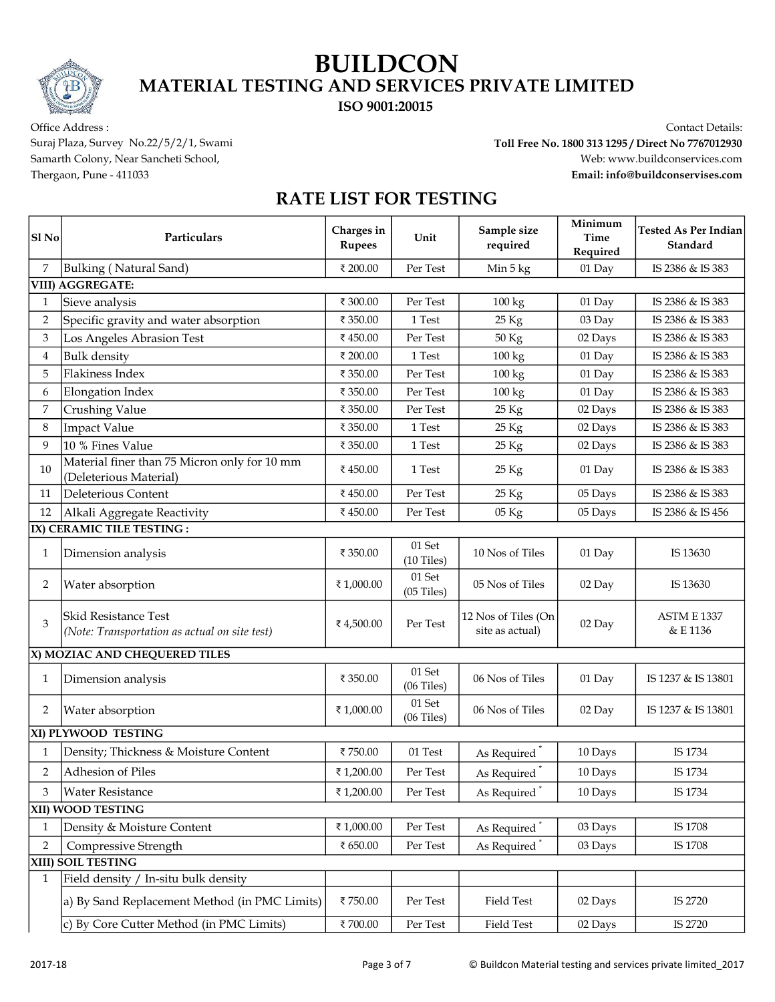ISO 9001:20015

Office Address : Contact Details:

Suraj Plaza, Survey No.22/5/2/1, Swami Toll Free No. 1800 313 1295 / Direct No 7767012930 Samarth Colony, Near Sancheti School, www.buildconservices.com Thergaon, Pune - 411033 Email: info@buildconservises.com

| Sl No        | Particulars                                                            | Charges in<br><b>Rupees</b> | Unit                      | Sample size<br>required                | Minimum<br>Time<br>Required | <b>Tested As Per Indian</b><br>Standard |
|--------------|------------------------------------------------------------------------|-----------------------------|---------------------------|----------------------------------------|-----------------------------|-----------------------------------------|
| 7            | Bulking (Natural Sand)                                                 | ₹ 200.00                    | Per Test                  | Min 5 kg                               | 01 Day                      | IS 2386 & IS 383                        |
|              | <b>VIII) AGGREGATE:</b>                                                |                             |                           |                                        |                             |                                         |
| 1            | Sieve analysis                                                         | ₹ 300.00                    | Per Test                  | $100 \text{ kg}$                       | 01 Day                      | IS 2386 & IS 383                        |
| 2            | Specific gravity and water absorption                                  | ₹ 350.00                    | 1 Test                    | 25 Kg                                  | 03 Day                      | IS 2386 & IS 383                        |
| 3            | Los Angeles Abrasion Test                                              | ₹450.00                     | Per Test                  | 50 Kg                                  | 02 Days                     | IS 2386 & IS 383                        |
| 4            | <b>Bulk</b> density                                                    | ₹ 200.00                    | 1 Test                    | 100 kg                                 | 01 Day                      | IS 2386 & IS 383                        |
| 5            | Flakiness Index                                                        | ₹ 350.00                    | Per Test                  | 100 kg                                 | 01 Day                      | IS 2386 & IS 383                        |
| 6            | Elongation Index                                                       | ₹ 350.00                    | Per Test                  | 100 kg                                 | 01 Day                      | IS 2386 & IS 383                        |
| 7            | <b>Crushing Value</b>                                                  | ₹ 350.00                    | Per Test                  | 25 Kg                                  | 02 Days                     | IS 2386 & IS 383                        |
| 8            | <b>Impact Value</b>                                                    | ₹ 350.00                    | 1 Test                    | 25 Kg                                  | 02 Days                     | IS 2386 & IS 383                        |
| 9            | 10 % Fines Value                                                       | ₹ 350.00                    | 1 Test                    | 25 Kg                                  | 02 Days                     | IS 2386 & IS 383                        |
| 10           | Material finer than 75 Micron only for 10 mm<br>(Deleterious Material) | ₹450.00                     | 1 Test                    | 25 Kg                                  | 01 Day                      | IS 2386 & IS 383                        |
| 11           | Deleterious Content                                                    | ₹450.00                     | Per Test                  | 25 Kg                                  | 05 Days                     | IS 2386 & IS 383                        |
| 12           | Alkali Aggregate Reactivity                                            | ₹450.00                     | Per Test                  | 05 Kg                                  | 05 Days                     | IS 2386 & IS 456                        |
|              | IX) CERAMIC TILE TESTING :                                             |                             |                           |                                        |                             |                                         |
| 1            | Dimension analysis                                                     | ₹ 350.00                    | 01 Set<br>(10 Tiles)      | 10 Nos of Tiles                        | 01 Day                      | IS 13630                                |
| 2            | Water absorption                                                       | ₹1,000.00                   | 01 Set<br>$(05$ Tiles $)$ | 05 Nos of Tiles                        | 02 Day                      | IS 13630                                |
| 3            | Skid Resistance Test<br>(Note: Transportation as actual on site test)  | ₹4,500.00                   | Per Test                  | 12 Nos of Tiles (On<br>site as actual) | 02 Day                      | <b>ASTM E 1337</b><br>& E 1136          |
|              | X) MOZIAC AND CHEQUERED TILES                                          |                             |                           |                                        |                             |                                         |
| $\mathbf{1}$ | Dimension analysis                                                     | ₹ 350.00                    | 01 Set<br>$(06$ Tiles $)$ | 06 Nos of Tiles                        | 01 Day                      | IS 1237 & IS 13801                      |
| 2            | Water absorption                                                       | ₹1,000.00                   | 01 Set<br>$(06$ Tiles $)$ | 06 Nos of Tiles                        | 02 Day                      | IS 1237 & IS 13801                      |
|              | XI) PLYWOOD TESTING                                                    |                             |                           |                                        |                             |                                         |
| 1            | Density; Thickness & Moisture Content                                  | ₹750.00                     | $01\,\mathrm{Test}$       | As Required                            | 10 Days                     | IS 1734                                 |
| 2            | Adhesion of Piles                                                      | ₹1,200.00                   | Per Test                  | As Required <sup>*</sup>               | 10 Days                     | IS 1734                                 |
| 3            | <b>Water Resistance</b>                                                | ₹1,200.00                   | Per Test                  | As Required                            | 10 Days                     | IS 1734                                 |
|              | XII) WOOD TESTING                                                      |                             |                           |                                        |                             |                                         |
| 1            | Density & Moisture Content                                             | ₹1,000.00                   | Per Test                  | As Required <sup>*</sup>               | 03 Days                     | IS 1708                                 |
| 2            | Compressive Strength                                                   | ₹ 650.00                    | Per Test                  | As Required <sup>*</sup>               | 03 Days                     | IS 1708                                 |
|              | XIII) SOIL TESTING                                                     |                             |                           |                                        |                             |                                         |
| 1            | Field density / In-situ bulk density                                   |                             |                           |                                        |                             |                                         |
|              | a) By Sand Replacement Method (in PMC Limits)                          | ₹750.00                     | Per Test                  | Field Test                             | 02 Days                     | IS 2720                                 |
|              | c) By Core Cutter Method (in PMC Limits)                               | ₹700.00                     | Per Test                  | Field Test                             | 02 Days                     | IS 2720                                 |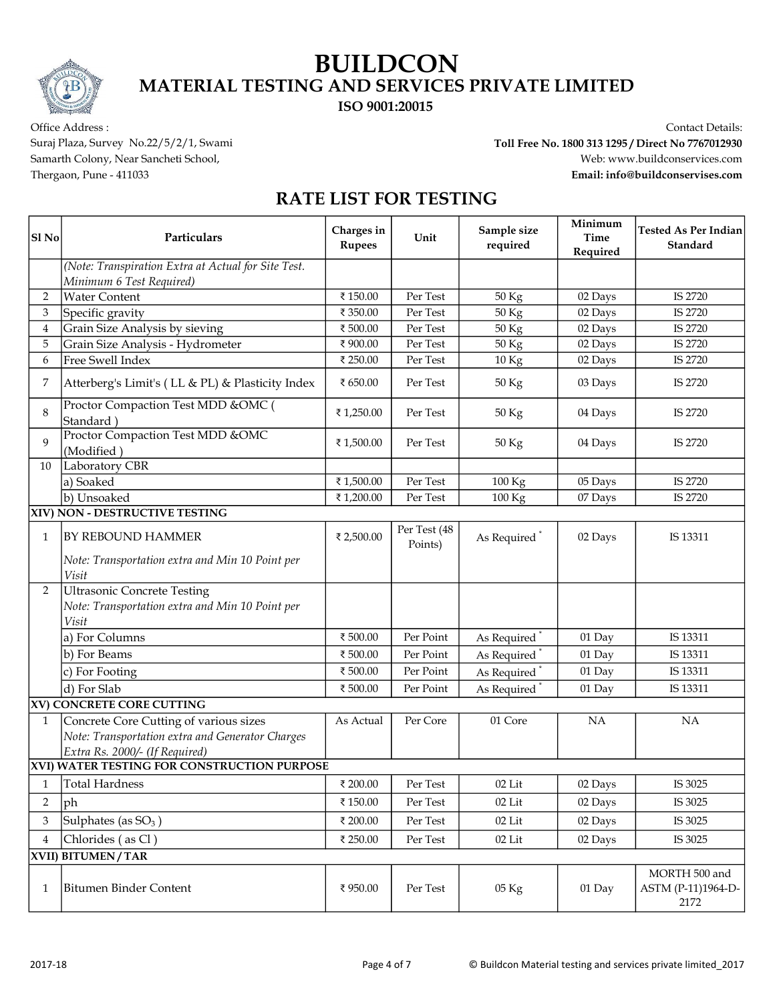ISO 9001:20015

Office Address : Contact Details:

Suraj Plaza, Survey No.22/5/2/1, Swami Toll Free No. 1800 313 1295 / Direct No 7767012930 Samarth Colony, Near Sancheti School, www.buildconservices.com Thergaon, Pune - 411033 Email: info@buildconservises.com

| Sl <sub>No</sub> | Particulars                                                                                | Charges in<br><b>Rupees</b> | Unit                    | Sample size<br>required  | Minimum<br><b>Time</b><br>Required | <b>Tested As Per Indian</b><br>Standard     |
|------------------|--------------------------------------------------------------------------------------------|-----------------------------|-------------------------|--------------------------|------------------------------------|---------------------------------------------|
|                  | (Note: Transpiration Extra at Actual for Site Test.<br>Minimum 6 Test Required)            |                             |                         |                          |                                    |                                             |
| $\overline{2}$   | <b>Water Content</b>                                                                       | ₹150.00                     | Per Test                | 50 Kg                    | 02 Days                            | IS 2720                                     |
| 3                | Specific gravity                                                                           | ₹ 350.00                    | Per Test                | 50 Kg                    | 02 Days                            | IS 2720                                     |
| $\overline{4}$   | Grain Size Analysis by sieving                                                             | ₹ 500.00                    | Per Test                | 50 Kg                    | 02 Days                            | IS 2720                                     |
| 5                | Grain Size Analysis - Hydrometer                                                           | ₹900.00                     | Per Test                | 50 Kg                    | 02 Days                            | IS 2720                                     |
| 6                | Free Swell Index                                                                           | ₹ 250.00                    | Per Test                | 10 Kg                    | 02 Days                            | IS 2720                                     |
| 7                | Atterberg's Limit's (LL & PL) & Plasticity Index                                           | ₹ 650.00                    | Per Test                | 50 Kg                    | 03 Days                            | IS 2720                                     |
| 8                | Proctor Compaction Test MDD &OMC (<br>Standard)                                            | ₹1,250.00                   | Per Test                | 50 Kg                    | 04 Days                            | IS 2720                                     |
| $\mathbf Q$      | Proctor Compaction Test MDD &OMC<br>(Modified)                                             | ₹1,500.00                   | Per Test                | 50 Kg                    | 04 Days                            | IS 2720                                     |
| 10               | Laboratory CBR                                                                             |                             |                         |                          |                                    |                                             |
|                  | a) Soaked                                                                                  | ₹1,500.00                   | Per Test                | 100 Kg                   | 05 Days                            | IS 2720                                     |
|                  | b) Unsoaked                                                                                | ₹1,200.00                   | Per Test                | 100 Kg                   | 07 Days                            | IS 2720                                     |
|                  | XIV) NON - DESTRUCTIVE TESTING                                                             |                             |                         |                          |                                    |                                             |
| $\mathbf{1}$     | <b>BY REBOUND HAMMER</b>                                                                   | ₹ 2,500.00                  | Per Test (48<br>Points) | As Required              | 02 Days                            | IS 13311                                    |
|                  | Note: Transportation extra and Min 10 Point per<br>Visit                                   |                             |                         |                          |                                    |                                             |
| 2                | <b>Ultrasonic Concrete Testing</b><br>Note: Transportation extra and Min 10 Point per      |                             |                         |                          |                                    |                                             |
|                  | Visit                                                                                      |                             |                         |                          |                                    |                                             |
|                  | a) For Columns                                                                             | ₹ 500.00                    | Per Point               | As Required              | 01 Day                             | IS 13311                                    |
|                  | b) For Beams                                                                               | ₹ 500.00                    | Per Point               | As Required <sup>*</sup> | 01 Day                             | IS 13311                                    |
|                  | c) For Footing                                                                             | ₹ 500.00                    | Per Point               | As Required <sup>*</sup> | 01 Day                             | IS 13311                                    |
|                  | d) For Slab                                                                                | ₹ 500.00                    | Per Point               | As Required <sup>*</sup> | 01 Day                             | IS 13311                                    |
|                  | <b>XV) CONCRETE CORE CUTTING</b>                                                           |                             |                         |                          |                                    |                                             |
| $\mathbf{1}$     | Concrete Core Cutting of various sizes<br>Note: Transportation extra and Generator Charges | As Actual                   | Per Core                | 01 Core                  | <b>NA</b>                          | <b>NA</b>                                   |
|                  | Extra Rs. 2000/- (If Required)                                                             |                             |                         |                          |                                    |                                             |
|                  | XVI) WATER TESTING FOR CONSTRUCTION PURPOSE                                                |                             |                         |                          |                                    |                                             |
|                  | Total Hardness                                                                             | ₹ 200.00                    | Per Test                | $02\,{\rm Lit}$          | 02 Days                            | IS 3025                                     |
| 2                | ph                                                                                         | ₹150.00                     | Per Test                | 02 Lit                   | 02 Days                            | IS 3025                                     |
| 3                | Sulphates (as $SO_3$ )                                                                     | ₹ 200.00                    | Per Test                | $02$ Lit                 | 02 Days                            | IS 3025                                     |
| 4                | Chlorides (as Cl)                                                                          | ₹ 250.00                    | Per Test                | $02$ Lit                 | 02 Days                            | IS 3025                                     |
|                  | XVII) BITUMEN / TAR                                                                        |                             |                         |                          |                                    |                                             |
| 1                | <b>Bitumen Binder Content</b>                                                              | ₹950.00                     | Per Test                | 05 Kg                    | 01 Day                             | MORTH 500 and<br>ASTM (P-11)1964-D-<br>2172 |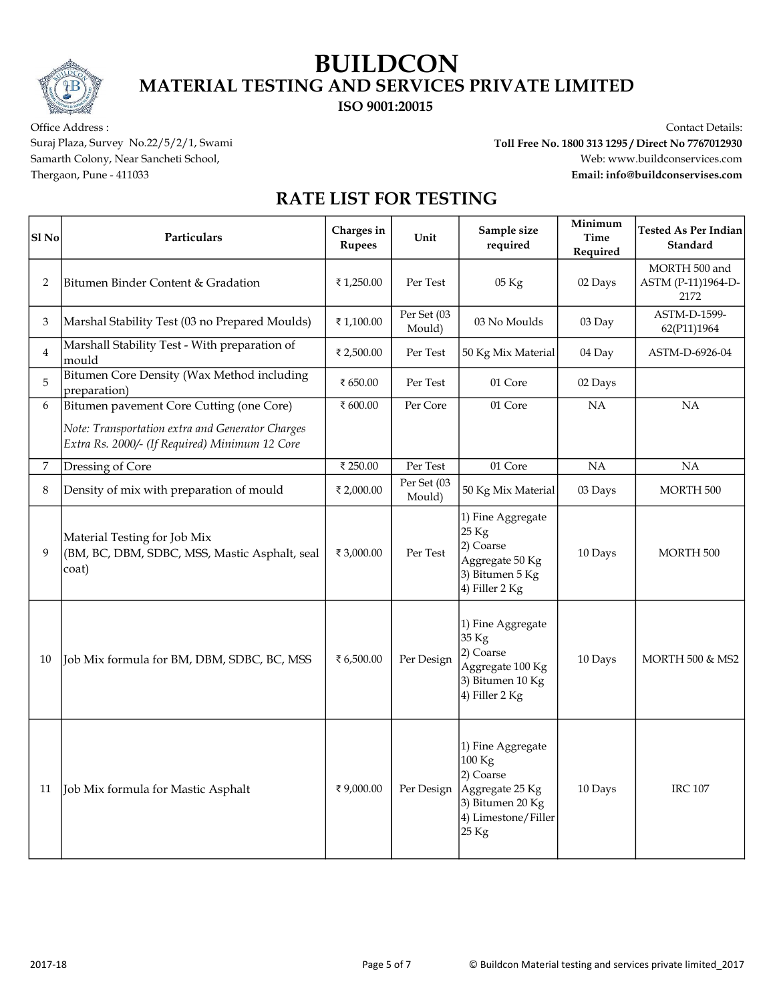ISO 9001:20015

Office Address : Contact Details: Suraj Plaza, Survey No.22/5/2/1, Swami Toll Free No. 1800 313 1295 / Direct No 7767012930 Samarth Colony, Near Sancheti School, www.buildconservices.com Thergaon, Pune - 411033 Email: info@buildconservises.com

| Sl <sub>No</sub> | Particulars                                                                                        | Charges in<br><b>Rupees</b> | Unit                  | Sample size<br>required                                                                                           | Minimum<br>Time<br>Required | <b>Tested As Per Indian</b><br>Standard     |
|------------------|----------------------------------------------------------------------------------------------------|-----------------------------|-----------------------|-------------------------------------------------------------------------------------------------------------------|-----------------------------|---------------------------------------------|
| 2                | Bitumen Binder Content & Gradation                                                                 | ₹1,250.00                   | Per Test              | 05 Kg                                                                                                             | 02 Days                     | MORTH 500 and<br>ASTM (P-11)1964-D-<br>2172 |
| 3                | Marshal Stability Test (03 no Prepared Moulds)                                                     | ₹1,100.00                   | Per Set (03<br>Mould) | 03 No Moulds                                                                                                      | 03 Day                      | ASTM-D-1599-<br>62(P11)1964                 |
| $\overline{4}$   | Marshall Stability Test - With preparation of<br>mould                                             | ₹ 2,500.00                  | Per Test              | 50 Kg Mix Material                                                                                                | 04 Day                      | ASTM-D-6926-04                              |
| 5                | Bitumen Core Density (Wax Method including<br>preparation)                                         | ₹ 650.00                    | Per Test              | 01 Core                                                                                                           | 02 Days                     |                                             |
| 6                | Bitumen pavement Core Cutting (one Core)                                                           | ₹ 600.00                    | Per Core              | 01 Core                                                                                                           | NA                          | NA                                          |
|                  | Note: Transportation extra and Generator Charges<br>Extra Rs. 2000/- (If Required) Minimum 12 Core |                             |                       |                                                                                                                   |                             |                                             |
| 7                | Dressing of Core                                                                                   | ₹ 250.00                    | Per Test              | 01 Core                                                                                                           | <b>NA</b>                   | <b>NA</b>                                   |
| 8                | Density of mix with preparation of mould                                                           | ₹ 2,000.00                  | Per Set (03<br>Mould) | 50 Kg Mix Material                                                                                                | 03 Days                     | MORTH 500                                   |
| 9                | Material Testing for Job Mix<br>(BM, BC, DBM, SDBC, MSS, Mastic Asphalt, seal<br>coat)             | ₹ 3,000.00                  | Per Test              | 1) Fine Aggregate<br>25 Kg<br>2) Coarse<br>Aggregate 50 Kg<br>3) Bitumen 5 Kg<br>4) Filler 2 Kg                   | 10 Days                     | MORTH 500                                   |
| 10               | Job Mix formula for BM, DBM, SDBC, BC, MSS                                                         | ₹ 6,500.00                  | Per Design            | 1) Fine Aggregate<br>35 Kg<br>2) Coarse<br>Aggregate 100 Kg<br>3) Bitumen 10 Kg<br>4) Filler 2 Kg                 | 10 Days                     | <b>MORTH 500 &amp; MS2</b>                  |
| 11               | Job Mix formula for Mastic Asphalt                                                                 | ₹9,000.00                   | Per Design            | 1) Fine Aggregate<br>100 Kg<br>2) Coarse<br>Aggregate 25 Kg<br>3) Bitumen 20 Kg<br>4) Limestone/Filler<br>$25$ Kg | 10 Days                     | <b>IRC 107</b>                              |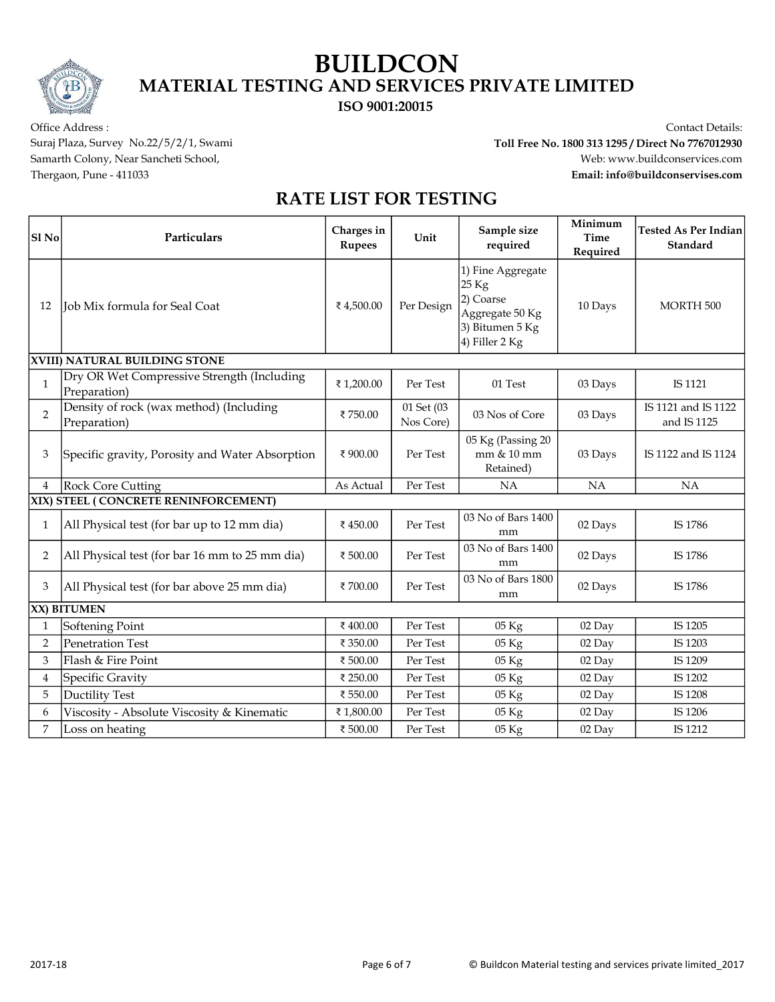ISO 9001:20015

Office Address : Contact Details: Suraj Plaza, Survey No.22/5/2/1, Swami Toll Free No. 1800 313 1295 / Direct No 7767012930 Samarth Colony, Near Sancheti School, www.buildconservices.com Thergaon, Pune - 411033 Email: info@buildconservises.com

| Sl <sub>No</sub> | Particulars                                                | Charges in<br><b>Rupees</b> | Unit                    | Sample size<br>required                                                                         | Minimum<br><b>Time</b><br>Required | <b>Tested As Per Indian</b><br>Standard |
|------------------|------------------------------------------------------------|-----------------------------|-------------------------|-------------------------------------------------------------------------------------------------|------------------------------------|-----------------------------------------|
| 12               | Job Mix formula for Seal Coat                              | ₹4,500.00                   | Per Design              | 1) Fine Aggregate<br>25 Kg<br>2) Coarse<br>Aggregate 50 Kg<br>3) Bitumen 5 Kg<br>4) Filler 2 Kg | 10 Days                            | MORTH <sub>500</sub>                    |
|                  | XVIII) NATURAL BUILDING STONE                              |                             |                         |                                                                                                 |                                    |                                         |
| $\mathbf{1}$     | Dry OR Wet Compressive Strength (Including<br>Preparation) | ₹1,200.00                   | Per Test                | 01 Test                                                                                         | 03 Days                            | IS 1121                                 |
| $\overline{2}$   | Density of rock (wax method) (Including<br>Preparation)    | ₹750.00                     | 01 Set (03<br>Nos Core) | 03 Nos of Core                                                                                  | 03 Days                            | IS 1121 and IS 1122<br>and IS 1125      |
| 3                | Specific gravity, Porosity and Water Absorption            | ₹900.00                     | Per Test                | 05 Kg (Passing 20<br>mm & 10 mm<br>Retained)                                                    | 03 Days                            | IS 1122 and IS 1124                     |
| $\overline{4}$   | Rock Core Cutting                                          | As Actual                   | Per Test                | NA                                                                                              | NA                                 | <b>NA</b>                               |
|                  | XIX) STEEL (CONCRETE RENINFORCEMENT)                       |                             |                         |                                                                                                 |                                    |                                         |
| 1                | All Physical test (for bar up to 12 mm dia)                | ₹450.00                     | Per Test                | 03 No of Bars 1400<br>mm                                                                        | 02 Days                            | IS 1786                                 |
| 2                | All Physical test (for bar 16 mm to 25 mm dia)             | ₹ 500.00                    | Per Test                | 03 No of Bars 1400<br>mm                                                                        | 02 Days                            | IS 1786                                 |
| 3                | All Physical test (for bar above 25 mm dia)                | ₹700.00                     | Per Test                | 03 No of Bars 1800<br>mm                                                                        | 02 Days                            | IS 1786                                 |
|                  | XX) BITUMEN                                                |                             |                         |                                                                                                 |                                    |                                         |
| 1                | Softening Point                                            | ₹400.00                     | Per Test                | $05\ \mathrm{Kg}$                                                                               | 02 Day                             | IS 1205                                 |
| 2                | Penetration Test                                           | ₹ 350.00                    | Per Test                | 05 Kg                                                                                           | 02 Day                             | IS 1203                                 |
| 3                | Flash & Fire Point                                         | ₹500.00                     | Per Test                | 05 Kg                                                                                           | 02 Day                             | IS 1209                                 |
| $\overline{4}$   | Specific Gravity                                           | ₹ 250.00                    | Per Test                | 05 Kg                                                                                           | $02$ Day                           | IS 1202                                 |
| 5                | <b>Ductility Test</b>                                      | ₹ 550.00                    | Per Test                | 05 Kg                                                                                           | 02 Day                             | IS 1208                                 |
| 6                | Viscosity - Absolute Viscosity & Kinematic                 | ₹1,800.00                   | Per Test                | 05 Kg                                                                                           | 02 Day                             | IS 1206                                 |
| 7                | Loss on heating                                            | ₹500.00                     | Per Test                | 05 Kg                                                                                           | 02 Day                             | IS 1212                                 |